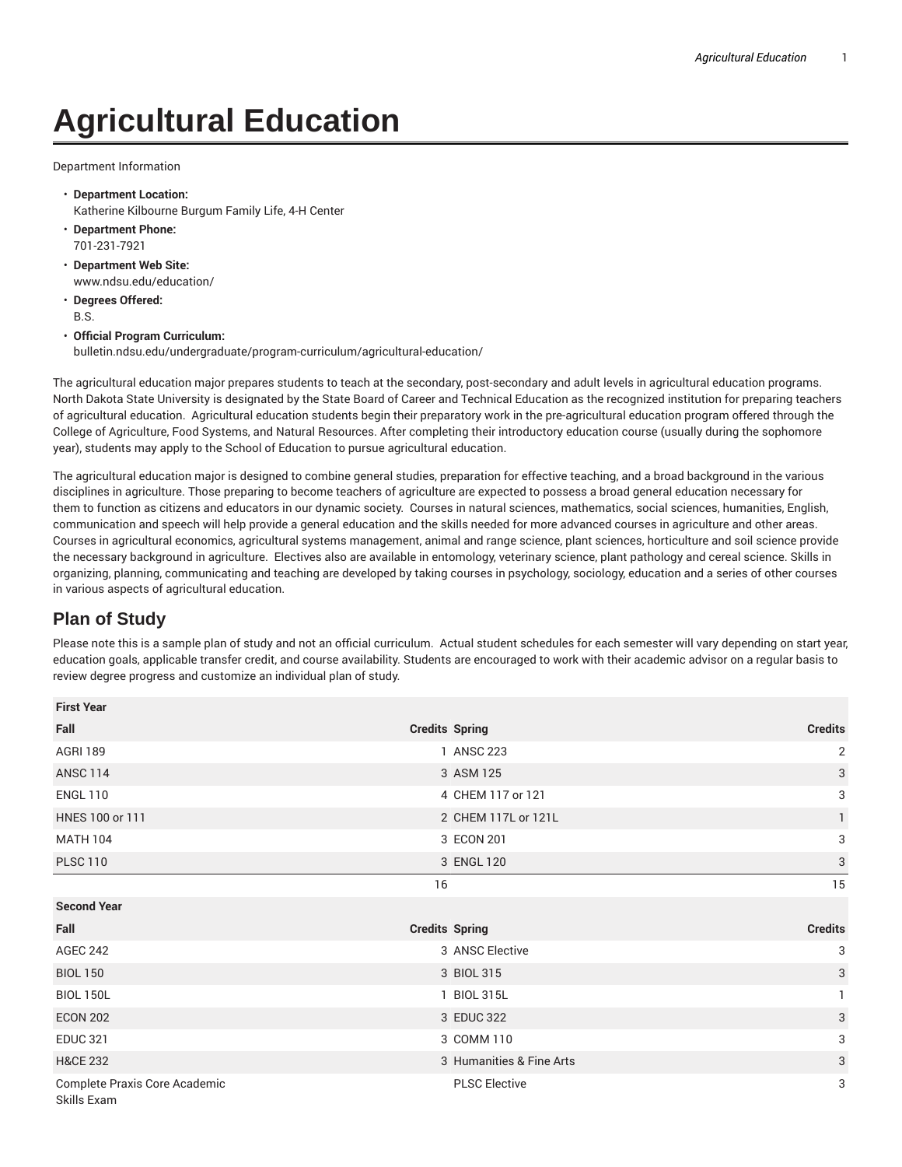## **Agricultural Education**

Department Information

- **Department Location:** Katherine Kilbourne Burgum Family Life, 4-H Center
- **Department Phone:** 701-231-7921
- **Department Web Site:** www.ndsu.edu/education/
- **Degrees Offered:** B.S.
- **Official Program Curriculum:** bulletin.ndsu.edu/undergraduate/program-curriculum/agricultural-education/

The agricultural education major prepares students to teach at the secondary, post-secondary and adult levels in agricultural education programs. North Dakota State University is designated by the State Board of Career and Technical Education as the recognized institution for preparing teachers of agricultural education. Agricultural education students begin their preparatory work in the pre-agricultural education program offered through the College of Agriculture, Food Systems, and Natural Resources. After completing their introductory education course (usually during the sophomore year), students may apply to the School of Education to pursue agricultural education.

The agricultural education major is designed to combine general studies, preparation for effective teaching, and a broad background in the various disciplines in agriculture. Those preparing to become teachers of agriculture are expected to possess a broad general education necessary for them to function as citizens and educators in our dynamic society. Courses in natural sciences, mathematics, social sciences, humanities, English, communication and speech will help provide a general education and the skills needed for more advanced courses in agriculture and other areas. Courses in agricultural economics, agricultural systems management, animal and range science, plant sciences, horticulture and soil science provide the necessary background in agriculture. Electives also are available in entomology, veterinary science, plant pathology and cereal science. Skills in organizing, planning, communicating and teaching are developed by taking courses in psychology, sociology, education and a series of other courses in various aspects of agricultural education.

## **Plan of Study**

Please note this is a sample plan of study and not an official curriculum. Actual student schedules for each semester will vary depending on start year, education goals, applicable transfer credit, and course availability. Students are encouraged to work with their academic advisor on a regular basis to review degree progress and customize an individual plan of study.

| <b>First Year</b>                            |                          |                |
|----------------------------------------------|--------------------------|----------------|
| Fall                                         | <b>Credits Spring</b>    | <b>Credits</b> |
| <b>AGRI 189</b>                              | 1 ANSC 223               | $\overline{2}$ |
| <b>ANSC 114</b>                              | 3 ASM 125                | $\mathbf{3}$   |
| <b>ENGL 110</b>                              | 4 CHEM 117 or 121        | 3              |
| HNES 100 or 111                              | 2 CHEM 117L or 121L      | $\mathbf{1}$   |
| <b>MATH 104</b>                              | 3 ECON 201               | 3              |
| <b>PLSC 110</b>                              | 3 ENGL 120               | $\sqrt{3}$     |
|                                              | 16                       | 15             |
| <b>Second Year</b>                           |                          |                |
| Fall                                         | <b>Credits Spring</b>    | <b>Credits</b> |
| <b>AGEC 242</b>                              | 3 ANSC Elective          | 3              |
| <b>BIOL 150</b>                              | 3 BIOL 315               | $\mathbf{3}$   |
| <b>BIOL 150L</b>                             | 1 BIOL 315L              |                |
| <b>ECON 202</b>                              | 3 EDUC 322               | $\mathbf{3}$   |
| <b>EDUC 321</b>                              | 3 COMM 110               | 3              |
| <b>H&amp;CE 232</b>                          | 3 Humanities & Fine Arts | 3              |
| Complete Praxis Core Academic<br>Skills Exam | <b>PLSC Elective</b>     | 3              |